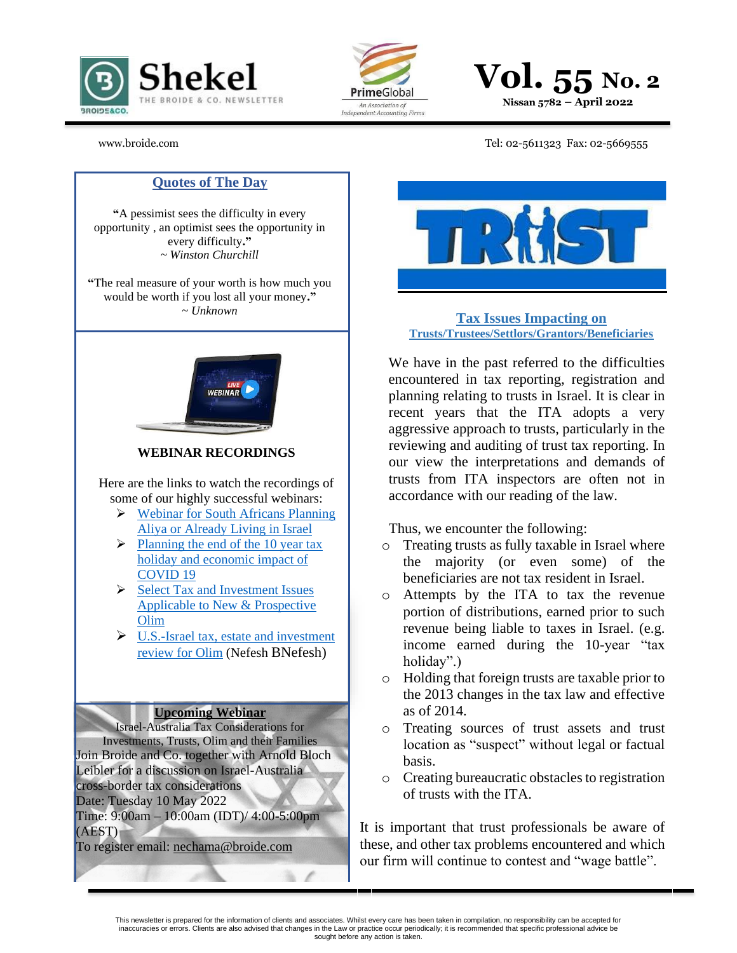





## [www.broide.com](http://www.broide.com/) Tel: 02-5611323 Fax: 02-5669555

### **Quotes of The Day**

**"**A pessimist sees the difficulty in every opportunity , an optimist sees the opportunity in every difficulty**."** *~ Winston Churchill*

**"**The real measure of your worth is how much you would be worth if you lost all your money**."** *~ Unknown*



**WEBINAR RECORDINGS** 

Here are the links to watch the recordings of some of our highly successful webinars:

- ➢ [Webinar for South Africans Planning](https://www.broide.com/webinar.html)  [Aliya or Already Living in Israel](https://www.broide.com/webinar.html)
- $\triangleright$  Planning the end of the 10 year tax [holiday and economic impact of](http://files8.webydo.com/93/9396695/UploadedFiles/25ACDB6B-EE2B-307F-5113-20353176E65F.pdf)  [COVID 19](http://files8.webydo.com/93/9396695/UploadedFiles/25ACDB6B-EE2B-307F-5113-20353176E65F.pdf)
- ➢ [Select Tax and Investment Issues](https://foxrothschild2.webex.com/recordingservice/sites/foxrothschild2/recording/6ad3b09184b440dd91908dd40beffa35/playback)  [Applicable to New & Prospective](https://foxrothschild2.webex.com/recordingservice/sites/foxrothschild2/recording/6ad3b09184b440dd91908dd40beffa35/playback)  [Olim](https://foxrothschild2.webex.com/recordingservice/sites/foxrothschild2/recording/6ad3b09184b440dd91908dd40beffa35/playback)
- $\triangleright$  U.S.-Israel tax, estate and investment [review for Olim](https://www.youtube.com/watch?v=HLg_i-Y10eE) (Nefesh BNefesh)

#### **Upcoming Webinar**

Israel-Australia Tax Considerations for Investments, Trusts, Olim and their Families Join Broide and Co. together with Arnold Bloch Leibler for a discussion on Israel-Australia cross-border tax considerations Date: Tuesday 10 May 2022

Time: 9:00am – 10:00am (IDT)/ 4:00-5:00pm (AEST)

To register email: [nechama@broide.com](mailto:nechama@broide.com)



**Tax Issues Impacting on Trusts/Trustees/Settlors/Grantors/Beneficiaries**

We have in the past referred to the difficulties encountered in tax reporting, registration and planning relating to trusts in Israel. It is clear in recent years that the ITA adopts a very aggressive approach to trusts, particularly in the reviewing and auditing of trust tax reporting. In our view the interpretations and demands of trusts from ITA inspectors are often not in accordance with our reading of the law.

Thus, we encounter the following:

- o Treating trusts as fully taxable in Israel where the majority (or even some) of the beneficiaries are not tax resident in Israel.
- o Attempts by the ITA to tax the revenue portion of distributions, earned prior to such revenue being liable to taxes in Israel. (e.g. income earned during the 10-year "tax holiday".)
- o Holding that foreign trusts are taxable prior to the 2013 changes in the tax law and effective as of 2014.
- o Treating sources of trust assets and trust location as "suspect" without legal or factual basis.
- o Creating bureaucratic obstacles to registration of trusts with the ITA.

It is important that trust professionals be aware of these, and other tax problems encountered and which our firm will continue to contest and "wage battle".

This newsletter is prepared for the information of clients and associates. Whilst every care has been taken in compilation, no responsibility can be accepted for inaccuracies or errors. Clients are also advised that changes in the Law or practice occur periodically; it is recommended that specific professional advice be sought before any action is taken.